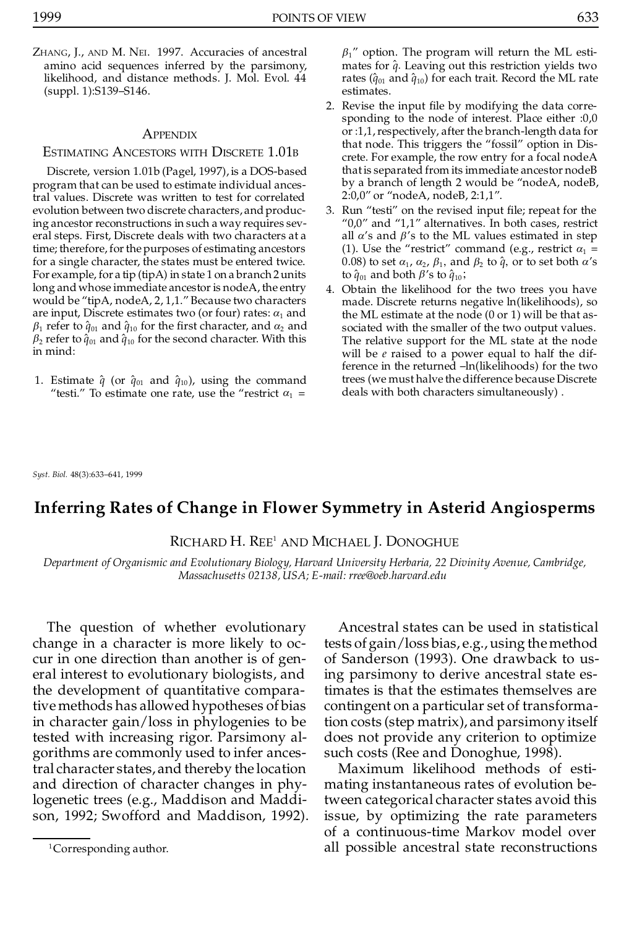ZHANG, J., AND M. NEI. 1997. Accuracies of ancestral amino acid sequences inferred by the parsimony, likelihood, and distance methods. J. Mol. Evol. 44 (suppl. 1):S139–S146.

### **APPENDIX**

#### ESTIMATING ANCESTORS WITH DISCRETE 1.01B

Discrete, version 1.01b (Pagel, 1997), is a DOS-based program that can be used to estimate individual ancestral values. Discrete was written to test for correlated evolution between two discrete characters, and producing ancestor reconstructions in such a way requires sev eral steps. First, Discrete deals with two characters at a time; therefore, for the purposes of estimating ancestors for a single character, the states must be entered twice. For example, for a tip (tipA) in state 1 on a branch 2units long and whose immediate ancestor is nodeA, the entry would be "tipA, nodeA, 2, 1,1." Because two characters are input, Discrete estimates two (or four) rates:  $a_1$  and  $\beta_1$  refer to  $\hat{q}_{01}$  and  $\hat{q}_{10}$  for the first character, and  $\alpha_2$  and  $\beta_2$  refer to  $\hat{q}_{01}$  and  $\hat{q}_{10}$  for the second character. With this in mind:

1. Estimate  $\hat{q}$  (or  $\hat{q}_{01}$  and  $\hat{q}_{10}$ ), using the command "testi." To estimate one rate, use the "restrict  $\alpha_1$  =

 $\beta_1$ " option. The program will return the ML estimates for  $\hat{q}$ . Leaving out this restriction yields two rates ( $\hat{q}_{01}$  and  $\hat{q}_{10}$ ) for each trait. Record the ML rate estimates.

- 2. Revise the input file by modifying the data corresponding to the node of interest. Place either :0,0 or :1,1,respectively, after the branch-length data for that node. This triggers the "fossil" option in Discrete. For example, the row entry for a focal nodeA thatis separated from its immediate ancestor nodeB by a branch of length 2 would be "nodeA, nodeB, 2:0,0" or "nodeA, nodeB, 2:1,1".
- 3. Run "testi" on the revised input file; repeat for the "0,0" and "1,1" alternatives. In both cases, restrict all  $\alpha$ 's and  $\beta$ 's to the ML values estimated in step (1). Use the "restrict" command (e.g., restrict  $\alpha_1$  = 0.08) to set  $\alpha_1$ ,  $\alpha_2$ ,  $\beta_1$ , and  $\beta_2$  to  $\hat{q}$ , or to set both  $\alpha$ 's to  $\hat{q}_{01}$  and both  $\beta$ 's to  $\hat{q}_{10}$ ;
- 4. Obtain the likelihood for the two trees you have made. Discrete returns negative ln(likelihoods), so the ML estimate at the node (0 or 1) will be that as sociated with the smaller of the two output values. The relative support for the ML state at the node will be *e* raised to a power equal to half the difference in the returned –ln(likelihoods) for the two trees (we must halve the difference becauseDiscrete deals with both characters simultaneously) .

*Syst. Biol.* 48(3):633–641, 1999

# **Inferring Rates of Change in Flower Symmetry in Asterid Angiosperms**

## RICHARD H. REE<sup>1</sup> AND MICHAEL J. DONOGHUE

*Department of Organismic and Evolutionary Biology, Harvard University Herbaria, 22 Divinity Avenue, Cambridge, Massachusetts 02138, USA; E-mail: rree@oeb.harvard.edu*

The question of whether evolutionary change in a character is more likely to occur in one direction than another is of general interest to evolutionary biologists, and the development of quantitative comparativemethods has allowed hypotheses of bias in character gain/loss in phylogenies to be tested with increasing rigor. Parsimony algorithms are commonly used to infer ancestral character states, and thereby the location and direction of character changes in phylogenetic trees (e.g., Maddison and Maddison, 1992; Swofford and Maddison, 1992).

Ancestral states can be used in statistical tests of gain/loss bias, e.g.,using themethod of Sanderson (1993). One drawback to using parsimony to derive ancestral state estimates is that the estimates themselves are contingent on a particular set of transformation costs (step matrix), and parsimony itself does not provide any criterion to optimize such costs (Ree and Donoghue, 1998).

Maximum likelihood methods of estimating instantaneous rates of evolution between categorical character states avoid this issue, by optimizing the rate parameters of a continuous-time Markov model over <sup>1</sup>Corresponding author. **1Corresponding author.** 2015 all possible ancestral state reconstructions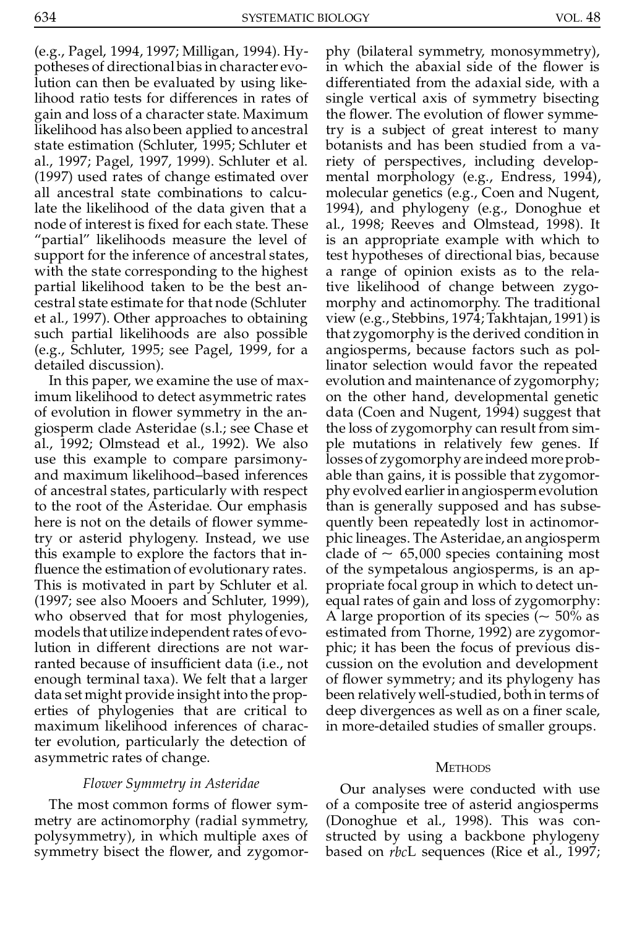(e.g., Pagel, 1994, 1997; Milligan, 1994). Hypotheses of directional bias in character evolution can then be evaluated by using likelihood ratio tests for differences in rates of gain and loss of a character state. Maximum likelihood has also been applied to ancestral state estimation (Schluter, 1995; Schluter et al., 1997; Pagel, 1997, 1999). Schluter et al. (1997) used rates of change estimated over all ancestral state combinations to calculate the likelihood of the data given that a node of interest is fixed for each state. These "partial" likelihoods measure the level of support for the inference of ancestral states, with the state corresponding to the highest partial likelihood taken to be the best ancestral state estimate for that node (Schluter et al., 1997). Other approaches to obtaining such partial likelihoods are also possible (e.g., Schluter, 1995; see Pagel, 1999, for a detailed discussion).

In this paper, we examine the use of maximum likelihood to detect asymmetric rates of evolution in flower symmetry in the angiosperm clade Asteridae (s.l.; see Chase et al., 1992; Olmstead et al., 1992). We also use this example to compare parsimonyand maximum likelihood–based inferences of ancestral states, particularly with respect to the root of the Asteridae. Our emphasis here is not on the details of flower symmetry or asterid phylogeny. Instead, we use this example to explore the factors that in fluence the estimation of evolutionary rates. This is motivated in part by Schluter et al. (1997; see also Mooers and Schluter, 1999), who observed that for most phylogenies, models that utilize independent rates of evolution in different directions are not warranted because of insufficient data (i.e., not enough terminal taxa). We felt that a larger data set might provide insight into the properties of phylogenies that are critical to maximum likelihood inferences of character evolution, particularly the detection of asymmetric rates of change.

## *Flower Symmetry in Asteridae*

The most common forms of flower symmetry are actinomorphy (radial symmetry, polysymmetry), in which multiple axes of symmetry bisect the flower, and zygomor-

phy (bilateral symmetry, monosymmetry), in which the abaxial side of the flower is differentiated from the adaxial side, with a single vertical axis of symmetry bisecting the flower. The evolution of flower symmetry is a subject of great interest to many botanists and has been studied from a variety of perspectives, including developmental morphology (e.g., Endress, 1994), molecular genetics (e.g., Coen and Nugent, 1994), and phylogeny (e.g., Donoghue et al., 1998; Reeves and Olmstead, 1998). It is an appropriate example with which to test hypotheses of directional bias, because a range of opinion exists as to the relative likelihood of change between zygomorphy and actinomorphy. The traditional view (e.g., Stebbins, 1974; Takhtajan, 1991) is that zygomorphy is the derived condition in angiosperms, because factors such as pollinator selection would favor the repeated evolution and maintenance of zygomorphy; on the other hand, developmental genetic data (Coen and Nugent, 1994) suggest that the loss of zygomorphy can result from simple mutations in relatively few genes. If losses of zygomorphyare indeed moreprobable than gains, it is possible that zygomorphy evolved earlierin angiospermevolution than is generally supposed and has subsequently been repeatedly lost in actinomorphic lineages. The Asteridae, an angiosperm clade of  $\sim 65,000$  species containing most of the sympetalous angiosperms, is an appropriate focal group in which to detect unequal rates of gain and loss of zygomorphy: A large proportion of its species ( $\sim$  50% as estimated from Thorne, 1992) are zygomorphic; it has been the focus of previous discussion on the evolution and development of flower symmetry; and its phylogeny has been relatively well-studied, bothin terms of deep divergences as well as on a finer scale, in more-detailed studies of smaller groups.

### **METHODS**

Our analyses were conducted with use of a composite tree of asterid angiosperms (Donoghue et al., 1998). This was constructed by using a backbone phylogeny based on *rbc*L sequences (Rice et al., 1997;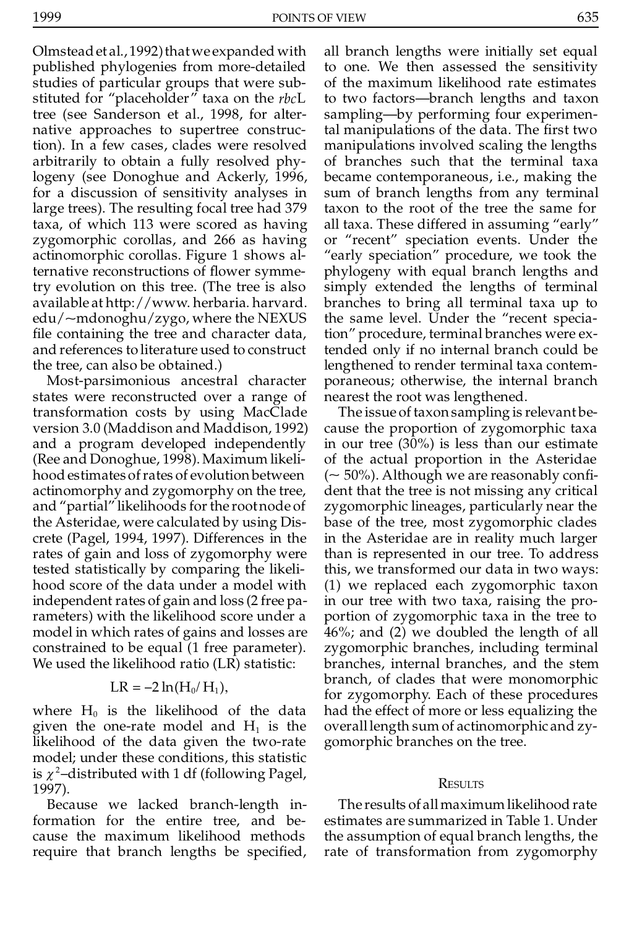Olmstead et al., 1992) that we expanded with published phylogenies from more-detailed studies of particular groups that were substituted for "placeholder" taxa on the *rbc*L tree (see Sanderson et al., 1998, for alternative approaches to supertree construction). In a few cases, clades were resolved arbitrarily to obtain a fully resolved phylogeny (see Donoghue and Ackerly, 1996, for a discussion of sensitivity analyses in large trees). The resulting focal tree had 379 taxa, of which 113 were scored as having zygomorphic corollas, and 266 as having actinomorphic corollas. Figure 1 shows alternative reconstructions of flower symmetry evolution on this tree. (The tree is also available at http://www. herbaria. harvard. edu/~mdonoghu/zygo, where the NEXUS file containing the tree and character data, and references to literature used to construct the tree, can also be obtained.)

Most-parsimonious ancestral character states were reconstructed over a range of transformation costs by using MacClade version 3.0 (Maddison and Maddison, 1992) and a program developed independently (Ree and Donoghue, 1998).Maximum likelihood estimates of rates of evolution between actinomorphy and zygomorphy on the tree, and "partial" likelihoods for the root node of the Asteridae, were calculated by using Discrete (Pagel, 1994, 1997). Differences in the rates of gain and loss of zygomorphy were tested statistically by comparing the likelihood score of the data under a model with independent rates of gain and loss (2 free parameters) with the likelihood score under a model in which rates of gains and losses are constrained to be equal (1 free parameter). We used the likelihood ratio (LR) statistic:

## $LR = -2 \ln(H_0/H_1),$

where  $H_0$  is the likelihood of the data given the one-rate model and  $H_1$  is the likelihood of the data given the two-rate model; under these conditions, this statistic is  $\chi^2$ -distributed with 1 df (following Pagel, 1997).

Because we lacked branch-length information for the entire tree, and because the maximum likelihood methods require that branch lengths be specified,

all branch lengths were initially set equal to one. We then assessed the sensitivity of the maximum likelihood rate estimates to two factors—branch lengths and taxon sampling—by performing four experimental manipulations of the data. The first two manipulations involved scaling the lengths of branches such that the terminal taxa became contemporaneous, i.e., making the sum of branch lengths from any terminal taxon to the root of the tree the same for all taxa. These differed in assuming "early" or "recent" speciation events. Under the "early speciation" procedure, we took the phylogeny with equal branch lengths and simply extended the lengths of terminal branches to bring all terminal taxa up to the same level. Under the "recent speciation" procedure, terminal branches were extended only if no internal branch could be lengthened to render terminal taxa contemporaneous; otherwise, the internal branch nearest the root was lengthened.

The issue of taxonsampling is relevant because the proportion of zygomorphic taxa in our tree (30%) is less than our estimate of the actual proportion in the Asteridae  $({\sim 50\%})$ . Although we are reasonably confident that the tree is not missing any critical zygomorphic lineages, particularly near the base of the tree, most zygomorphic clades in the Asteridae are in reality much larger than is represented in our tree. To address this, we transformed our data in two ways: (1) we replaced each zygomorphic taxon in our tree with two taxa, raising the proportion of zygomorphic taxa in the tree to 46%; and (2) we doubled the length of all zygomorphic branches, including terminal branches, internal branches, and the stem branch, of clades that were monomorphic for zygomorphy. Each of these procedures had the effect of more or less equalizing the overalllength sum of actinomorphic and zygomorphic branches on the tree.

#### **RESULTS**

The results of allmaximum likelihood rate estimates are summarized in Table 1. Under the assumption of equal branch lengths, the rate of transformation from zygomorphy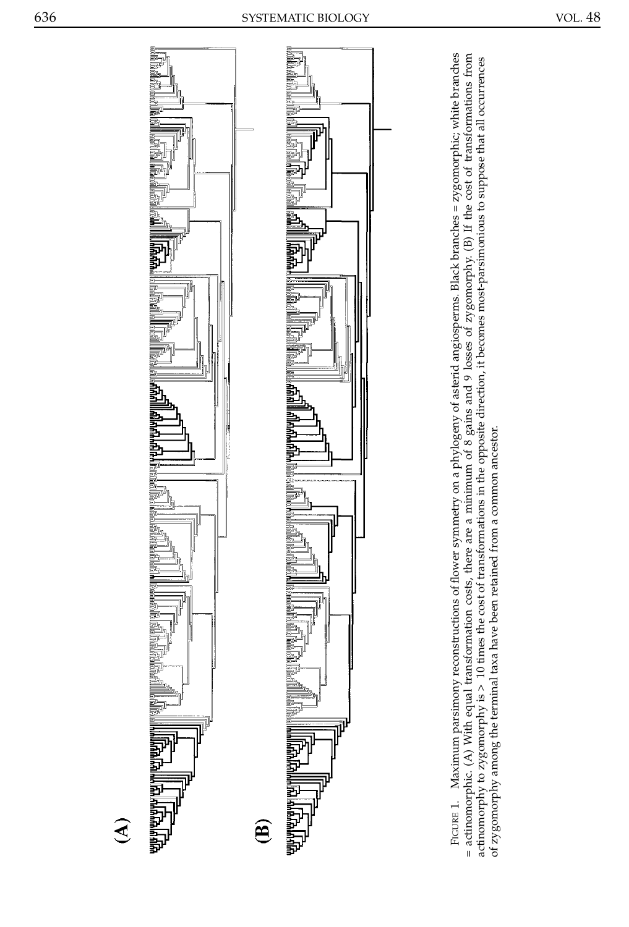of zygomorphy among the terminal taxa have been retained from a common ancestor.

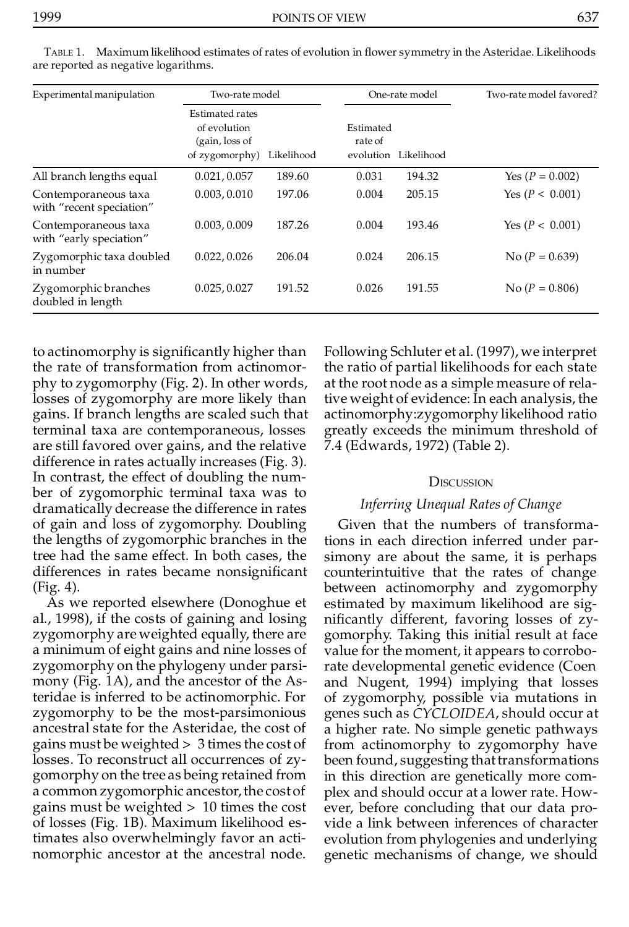| Experimental manipulation                        | Two-rate model                                                      |            | One-rate model       |                      | Two-rate model favored? |
|--------------------------------------------------|---------------------------------------------------------------------|------------|----------------------|----------------------|-------------------------|
|                                                  | Estimated rates<br>of evolution<br>(gain, loss of<br>of zygomorphy) | Likelihood | Estimated<br>rate of | evolution Likelihood |                         |
| All branch lengths equal                         | 0.021, 0.057                                                        | 189.60     | 0.031                | 194.32               | Yes ( $P = 0.002$ )     |
| Contemporaneous taxa<br>with "recent speciation" | 0.003, 0.010                                                        | 197.06     | 0.004                | 205.15               | Yes ( $P < 0.001$ )     |
| Contemporaneous taxa<br>with "early speciation"  | 0.003, 0.009                                                        | 187.26     | 0.004                | 193.46               | Yes $(P < 0.001)$       |
| Zygomorphic taxa doubled<br>in number            | 0.022, 0.026                                                        | 206.04     | 0.024                | 206.15               | $No (P = 0.639)$        |
| Zygomorphic branches<br>doubled in length        | 0.025, 0.027                                                        | 191.52     | 0.026                | 191.55               | $No (P = 0.806)$        |

TABLE 1. Maximum likelihood estimates of rates of evolution in flower symmetry in the Asteridae. Likelihoods are reported as negative logarithms.

to actinomorphy is signicantly higher than the rate of transformation from actinomorphy to zygomorphy (Fig. 2). In other words, losses of zygomorphy are more likely than gains. If branch lengths are scaled such that terminal taxa are contemporaneous, losses are still favored over gains, and the relative difference in rates actually increases (Fig. 3). In contrast, the effect of doubling the number of zygomorphic terminal taxa was to dramatically decrease the difference in rates of gain and loss of zygomorphy. Doubling the lengths of zygomorphic branches in the tree had the same effect. In both cases, the differences in rates became nonsignificant (Fig. 4).

As we reported elsewhere (Donoghue et al., 1998), if the costs of gaining and losing zygomorphy are weighted equally, there are a minimum of eight gains and nine losses of zygomorphy on the phylogeny under parsimony (Fig. 1A), and the ancestor of the Asteridae is inferred to be actinomorphic. For zygomorphy to be the most-parsimonious ancestral state for the Asteridae, the cost of gains must be weighted > 3 times the cost of losses. To reconstruct all occurrences of zygomorphy on the tree as being retained from a common zygomorphic ancestor, the cost of gains must be weighted > 10 times the cost of losses (Fig. 1B). Maximum likelihood estimates also overwhelmingly favor an actinomorphic ancestor at the ancestral node.

Following Schluter et al. (1997), we interpret the ratio of partial likelihoods for each state at the root node as a simple measure of relative weight of evidence: In each analysis, the actinomorphy:zygomorphy likelihood ratio greatly exceeds the minimum threshold of 7.4 (Edwards, 1972) (Table 2).

### **DISCUSSION**

## *Inferring Unequal Rates of Change*

Given that the numbers of transformations in each direction inferred under parsimony are about the same, it is perhaps counterintuitive that the rates of change between actinomorphy and zygomorphy estimated by maximum likelihood are signicantly different, favoring losses of zygomorphy. Taking this initial result at face value for the moment, it appears to corroborate developmental genetic evidence (Coen and Nugent, 1994) implying that losses of zygomorphy, possible via mutations in genes such as *CYCLOIDEA*, should occur at a higher rate. No simple genetic pathways from actinomorphy to zygomorphy have been found, suggesting that transformations in this direction are genetically more complex and should occur at a lower rate. However, before concluding that our data provide a link between inferences of character evolution from phylogenies and underlying genetic mechanisms of change, we should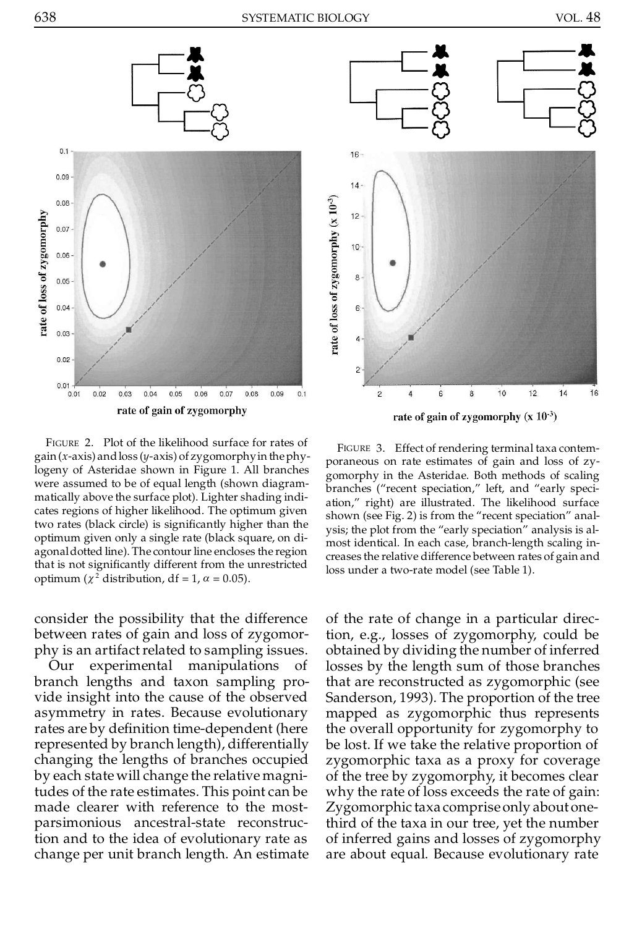



FIGURE 2. Plot of the likelihood surface for rates of gain(*x*-axis) andloss (*y*-axis) of zygomorphyin thephylogeny of Asteridae shown in Figure 1. All branches were assumed to be of equal length (shown diagrammatically above the surface plot). Lighter shading indicates regions of higher likelihood. The optimum given two rates (black circle) is signicantly higher than the optimum given only a single rate (black square, on diagonal dotted line). The contour line encloses the region that is not signicantly different from the unrestricted optimum ( $\chi^2$  distribution, df = 1,  $\alpha$  = 0.05).

consider the possibility that the difference between rates of gain and loss of zygomorphy is an artifact related to sampling issues.

Our experimental manipulations of branch lengths and taxon sampling provide insight into the cause of the observed asymmetry in rates. Because evolutionary rates are by definition time-dependent (here represented by branch length), differentially changing the lengths of branches occupied by each state will change the relative magnitudes of the rate estimates. This point can be made clearer with reference to the mostparsimonious ancestral-state reconstruction and to the idea of evolutionary rate as change per unit branch length. An estimate

FIGURE 3. Effect of rendering terminal taxa contemporaneous on rate estimates of gain and loss of zygomorphy in the Asteridae. Both methods of scaling branches ("recent speciation," left, and "early speciation," right) are illustrated. The likelihood surface shown (see Fig. 2) is from the "recent speciation" analysis; the plot from the "early speciation" analysis is almost identical. In each case, branch-length scaling in creases the relative difference between rates of gain and loss under a two-rate model (see Table 1).

of the rate of change in a particular direction, e.g., losses of zygomorphy, could be obtained by dividing the number of inferred losses by the length sum of those branches that are reconstructed as zygomorphic (see Sanderson, 1993). The proportion of the tree mapped as zygomorphic thus represents the overall opportunity for zygomorphy to be lost. If we take the relative proportion of zygomorphic taxa as a proxy for coverage of the tree by zygomorphy, it becomes clear why the rate of loss exceeds the rate of gain: Zygomorphic taxa compriseonly aboutonethird of the taxa in our tree, yet the number of inferred gains and losses of zygomorphy are about equal. Because evolutionary rate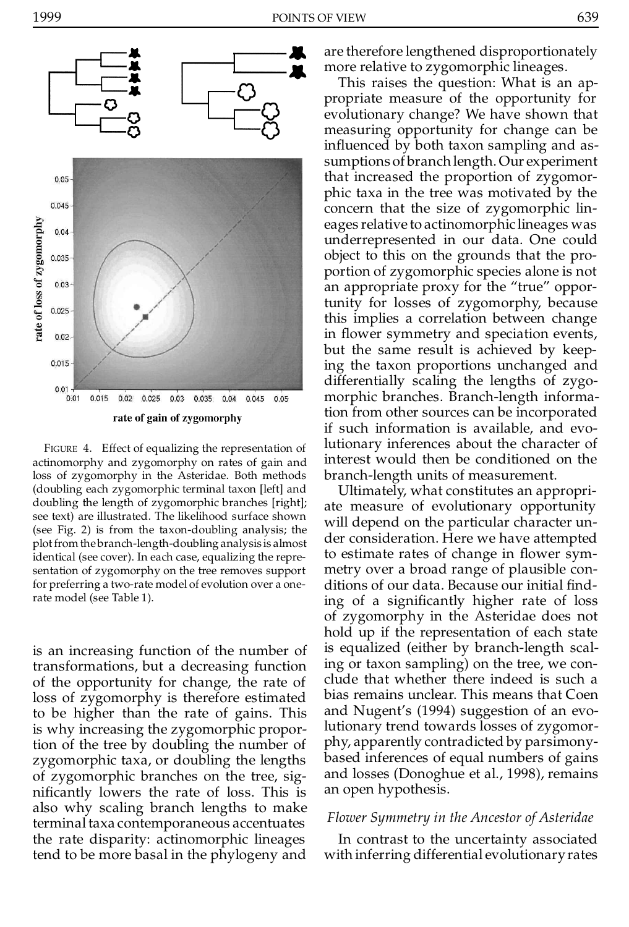

FIGURE 4. Effect of equalizing the representation of actinomorphy and zygomorphy on rates of gain and loss of zygomorphy in the Asteridae. Both methods (doubling each zygomorphic terminal taxon [left] and doubling the length of zygomorphic branches [right]; see text) are illustrated. The likelihood surface shown (see Fig. 2) is from the taxon-doubling analysis; the plot from the branch-length-doubling analysis is almost identical (see cover). In each case, equalizing the representation of zygomorphy on the tree removes support for preferring a two-rate model of evolution over a one rate model (see Table 1).

is an increasing function of the number of transformations, but a decreasing function of the opportunity for change, the rate of loss of zygomorphy is therefore estimated to be higher than the rate of gains. This is why increasing the zygomorphic proportion of the tree by doubling the number of zygomorphic taxa, or doubling the lengths of zygomorphic branches on the tree, signicantly lowers the rate of loss. This is also why scaling branch lengths to make terminal taxa contemporaneous accentuates the rate disparity: actinomorphic lineages tend to be more basal in the phylogeny and

are therefore lengthened disproportionately more relative to zygomorphic lineages.

This raises the question: What is an appropriate measure of the opportunity for evolutionary change? We have shown that measuring opportunity for change can be influenced by both taxon sampling and assumptions of branchlength.Our experiment that increased the proportion of zygomorphic taxa in the tree was motivated by the concern that the size of zygomorphic lineages relative to actinomorphic lineages was underrepresented in our data. One could object to this on the grounds that the proportion of zygomorphic species alone is not an appropriate proxy for the "true" opportunity for losses of zygomorphy, because this implies a correlation between change in flower symmetry and speciation events, but the same result is achieved by keeping the taxon proportions unchanged and differentially scaling the lengths of zygomorphic branches. Branch-length information from other sources can be incorporated if such information is available, and evolutionary inferences about the character of interest would then be conditioned on the branch-length units of measurement.

Ultimately, what constitutes an appropriate measure of evolutionary opportunity will depend on the particular character under consideration. Here we have attempted to estimate rates of change in flower symmetry over a broad range of plausible conditions of our data. Because our initial finding of a signicantly higher rate of loss of zygomorphy in the Asteridae does not hold up if the representation of each state is equalized (either by branch-length scaling or taxon sampling) on the tree, we conclude that whether there indeed is such a bias remains unclear. This means that Coen and Nugent's (1994) suggestion of an evolutionary trend towards losses of zygomorphy, apparently contradicted by parsimonybased inferences of equal numbers of gains and losses (Donoghue et al., 1998), remains an open hypothesis.

## *Flower Symmetry in the Ancestor of Asteridae*

In contrast to the uncertainty associated with inferring differential evolutionaryrates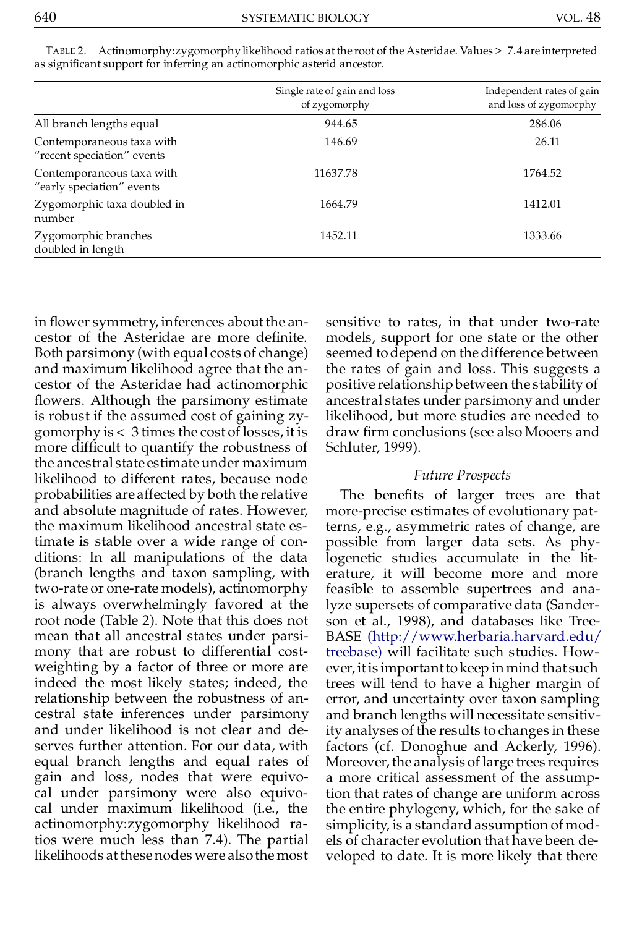|                                                         | Single rate of gain and loss<br>of zygomorphy | Independent rates of gain<br>and loss of zygomorphy |
|---------------------------------------------------------|-----------------------------------------------|-----------------------------------------------------|
| All branch lengths equal                                | 944.65                                        | 286.06                                              |
| Contemporaneous taxa with<br>"recent speciation" events | 146.69                                        | 26.11                                               |
| Contemporaneous taxa with<br>"early speciation" events  | 11637.78                                      | 1764.52                                             |
| Zygomorphic taxa doubled in<br>number                   | 1664.79                                       | 1412.01                                             |
| Zygomorphic branches<br>doubled in length               | 1452.11                                       | 1333.66                                             |

TABLE 2. Actinomorphy:zygomorphylikelihood ratios atthe root of the Asteridae. Values > 7.4 are interpreted as significant support for inferring an actinomorphic asterid ancestor.

in flower symmetry, inferences about the ancestor of the Asteridae are more definite. Both parsimony (with equal costs of change) and maximum likelihood agree that the ancestor of the Asteridae had actinomorphic flowers. Although the parsimony estimate is robust if the assumed cost of gaining zygomorphy is < 3 times the cost of losses, it is more difficult to quantify the robustness of the ancestral state estimateunder maximum likelihood to different rates, because node probabilities are affected by both the relative and absolute magnitude of rates. However, the maximum likelihood ancestral state estimate is stable over a wide range of conditions: In all manipulations of the data (branch lengths and taxon sampling, with two-rate or one-rate models), actinomorphy is always overwhelmingly favored at the root node (Table 2). Note that this does not mean that all ancestral states under parsimony that are robust to differential costweighting by a factor of three or more are indeed the most likely states; indeed, the relationship between the robustness of ancestral state inferences under parsimony and under likelihood is not clear and deserves further attention. For our data, with equal branch lengths and equal rates of gain and loss, nodes that were equivocal under parsimony were also equivocal under maximum likelihood (i.e., the actinomorphy:zygomorphy likelihood ratios were much less than 7.4). The partial likelihoods at these nodes were also the most sensitive to rates, in that under two-rate models, support for one state or the other seemed todepend on thedifference between the rates of gain and loss. This suggests a positive relationshipbetween the stability of ancestral states under parsimony and under likelihood, but more studies are needed to draw firm conclusions (see also Mooers and Schluter, 1999).

### *Future Prospects*

The benefits of larger trees are that more-precise estimates of evolutionary patterns, e.g., asymmetric rates of change, are possible from larger data sets. As phylogenetic studies accumulate in the literature, it will become more and more feasible to assemble supertrees and analyze supersets of comparative data (Sanderson et al., 1998), and databases like Tree-BASE [\(http://www.herbaria.harvard.edu/](http://www.herbaria.harvard.edu/treebase) [treebase\)](http://www.herbaria.harvard.edu/treebase) will facilitate such studies. However, itis importanttokeep in mind that such trees will tend to have a higher margin of error, and uncertainty over taxon sampling and branch lengths will necessitate sensitivity analyses of the results to changes in these factors (cf. Donoghue and Ackerly, 1996). Moreover, the analysis of large trees requires a more critical assessment of the assumption that rates of change are uniform across the entire phylogeny, which, for the sake of simplicity, is a standard assumption of models of character evolution that have been developed to date. It is more likely that there